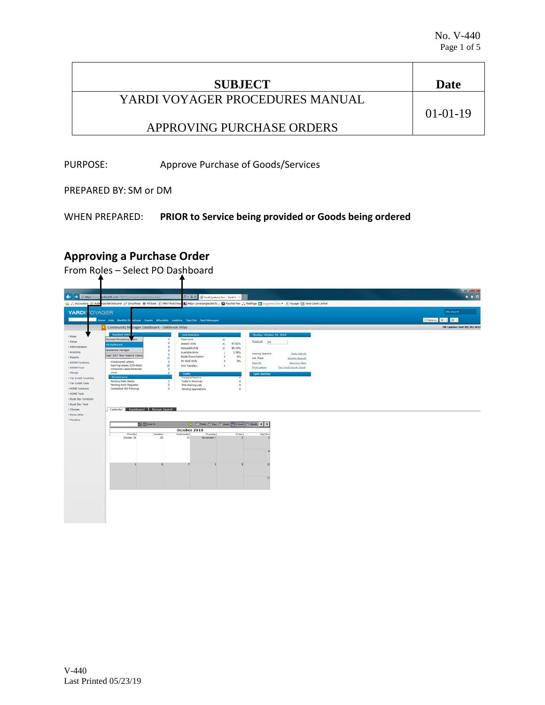| <b>SUBJECT</b>                  | Date       |
|---------------------------------|------------|
| YARDI VOYAGER PROCEDURES MANUAL | $01-01-19$ |
| APPROVING PURCHASE ORDERS       |            |

PURPOSE: Approve Purchase of Goods/Services

PREPARED BY: SM or DM

WHEN PREPARED: **PRIOR to Service being provided or Goods being ordered**

## **Approving a Purchase Order**

From Roles – Select PO Dashboard

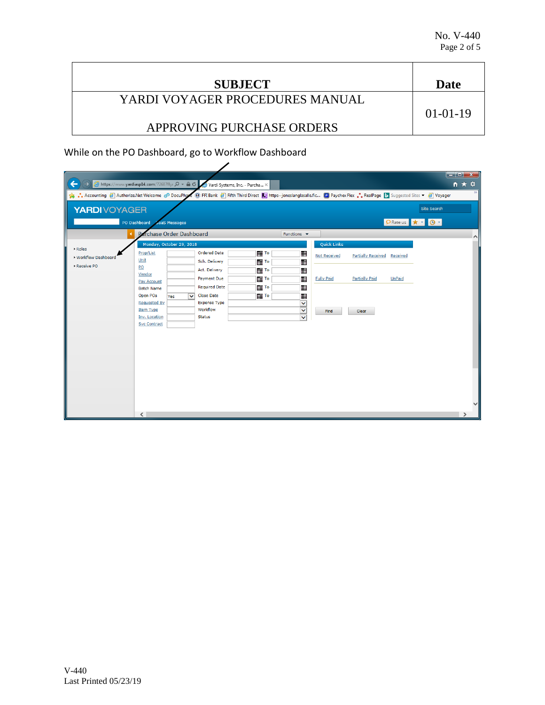| <b>SUBJECT</b>                  | Date       |
|---------------------------------|------------|
| YARDI VOYAGER PROCEDURES MANUAL |            |
|                                 | $01-01-19$ |
| APPROVING PURCHASE ORDERS       |            |

While on the PO Dashboard, go to Workflow Dashboard

| ←<br>$\rightarrow$<br>• Accounting @ Authorize.Net Welcome @ DocuPhare @ FFI Bank @ Fifth Third Direct & https--joneslanglasalle.fic ( Paychex Flex . RealPage b suggested Sites ▼ @ Voyager |                                                                                                                                                                                                                      | B https://www.yardiasp14.com/72687flyi Q ▼ A C Yardi Systems, Inc. - Purcha X                                                                                                         |                                                                                              |                                                                                      |                                                                        |                                                             |                           |                                        | $\begin{array}{c c c c c} \hline \multicolumn{1}{ c }{\textbf{1}} & \multicolumn{1}{ c }{\textbf{2}} & \multicolumn{1}{ c }{\textbf{3}} & \multicolumn{1}{ c }{\textbf{4}} & \multicolumn{1}{ c }{\textbf{5}} & \multicolumn{1}{ c }{\textbf{6}} & \multicolumn{1}{ c }{\textbf{7}} & \multicolumn{1}{ c }{\textbf{8}} & \multicolumn{1}{ c }{\textbf{9}} & \multicolumn{1}{ c }{\textbf{1}} & \multicolumn{1}{ c }{\textbf{1}} & \multicolumn$<br>☆★☆<br>$\rightarrow$ |
|----------------------------------------------------------------------------------------------------------------------------------------------------------------------------------------------|----------------------------------------------------------------------------------------------------------------------------------------------------------------------------------------------------------------------|---------------------------------------------------------------------------------------------------------------------------------------------------------------------------------------|----------------------------------------------------------------------------------------------|--------------------------------------------------------------------------------------|------------------------------------------------------------------------|-------------------------------------------------------------|---------------------------|----------------------------------------|-------------------------------------------------------------------------------------------------------------------------------------------------------------------------------------------------------------------------------------------------------------------------------------------------------------------------------------------------------------------------------------------------------------------------------------------------------------------------|
| <b>YARDI</b> VOYAGER                                                                                                                                                                         | PO Dashboard<br><b>SaaS Messages</b><br>frchase Order Dashboard<br>P                                                                                                                                                 |                                                                                                                                                                                       |                                                                                              | Functions $\blacktriangledown$                                                       |                                                                        |                                                             |                           | <b>Site Search</b><br>PRate us x + 0 + | $\curvearrowright$                                                                                                                                                                                                                                                                                                                                                                                                                                                      |
| ▶ Roles<br>▶ Workflow Dashboard<br>Receive PO                                                                                                                                                | Monday, October 29, 2018<br>Prop/List<br>Unit<br>PO<br>Vendor<br>Pay Account<br><b>Batch Name</b><br>Open POs<br>Yes<br><b>Requested By</b><br><b>Item Type</b><br>Inv. Location<br><b>Svc Contract</b><br>$\langle$ | <b>Ordered Date</b><br>Sch. Delivery<br>Act. Delivery<br>Payment Due<br><b>Required Date</b><br><b>Close Date</b><br>$\checkmark$<br><b>Expense Type</b><br>Workflow<br><b>Status</b> | <b>       To</b><br><b>THE TO</b><br>     ∏⊺∘<br>       To<br><b>       To</b><br>        To | <br>冊<br>⊞<br>冊<br>圖<br>冊<br>$\overline{\mathbf{v}}$<br>$\checkmark$<br>$\checkmark$ | <b>Quick Links</b><br><b>Not Received</b><br><b>Fully Paid</b><br>Find | <b>Partially Received</b><br><b>Partially Paid</b><br>Clear | Received<br><b>UnPaid</b> |                                        |                                                                                                                                                                                                                                                                                                                                                                                                                                                                         |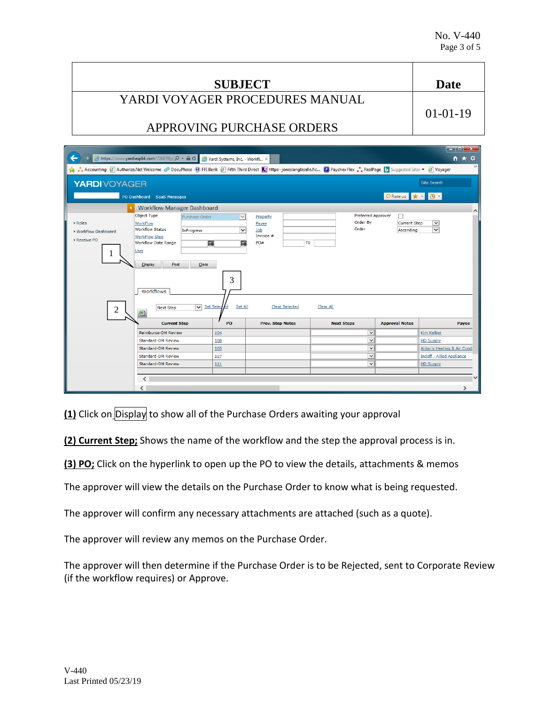**SUBJECT Date** YARDI VOYAGER PROCEDURES MANUAL APPROVING PURCHASE ORDERS 01-01-19

| ←                                                                      | A https://www.yardiasp14.com/72687flyi $\mathcal{Q}$ v A $\mathcal{C}$ Vardi Systems, Inc. - Workfl X                                                                                                                                                                              |                                                                                  |                                                                      |                                                                    |                                                                  | $   -$<br><b>n ★ 章</b>                  |
|------------------------------------------------------------------------|------------------------------------------------------------------------------------------------------------------------------------------------------------------------------------------------------------------------------------------------------------------------------------|----------------------------------------------------------------------------------|----------------------------------------------------------------------|--------------------------------------------------------------------|------------------------------------------------------------------|-----------------------------------------|
|                                                                        | • Accounting @ Authorize.Net Welcome c <sup>o</sup> DocuPhase @ FFI Bank @ Fifth Third Direct Le https --joneslanglasalle.fic D Paychex Flex . RealPage D Suggested Sites ▼ @ Voyager                                                                                              |                                                                                  |                                                                      |                                                                    |                                                                  | $\mathcal{N}$                           |
| <b>YARDIVOYAGER</b>                                                    |                                                                                                                                                                                                                                                                                    |                                                                                  |                                                                      |                                                                    |                                                                  | <b>Site Search</b>                      |
|                                                                        | PO Dashboard SaaS Messages                                                                                                                                                                                                                                                         |                                                                                  |                                                                      |                                                                    | <b>O</b> Rate us $\mathbf{r}$ $\mathbf{r}$ <b>0</b> $\mathbf{r}$ |                                         |
| ▶ Roles<br>▶ Workflow Dashboard<br>▶ Receive PO<br>1<br>$\overline{c}$ | <b>Workflow Manager Dashboard</b><br>Object Type<br>Purchase Order<br><b>WorkFlow</b><br><b>Workflow Status</b><br>InProgress<br><b>WorkFlow Step</b><br><b>Workflow Date Range</b><br><b>User</b><br><b>Display</b><br>Post<br>Clear<br><b>Workflows</b><br><b>Next Step</b><br>團 | $\checkmark$<br>$\overline{\mathsf{v}}$<br>⊞<br>匷<br>3<br>Set All<br>V Set Selec | Property<br>Payee<br>Job<br>Invoice #<br>To<br>PO#<br>Clear Selected | <b>Preferred Approver</b><br>Order By<br>Order<br><b>Clear All</b> | п<br><b>Current Step</b><br>Ascending                            | $\curvearrowright$<br>⊻<br>$\checkmark$ |
|                                                                        | <b>Current Step</b>                                                                                                                                                                                                                                                                | PO                                                                               | <b>Prev. Step Notes</b>                                              | <b>Next Steps</b>                                                  | <b>Approval Notes</b>                                            | Payee                                   |
|                                                                        | <b>Reimburse-DM Review</b>                                                                                                                                                                                                                                                         | 104                                                                              |                                                                      | $\checkmark$                                                       |                                                                  | <b>Kim Kelber</b>                       |
|                                                                        | Standard-DM Review                                                                                                                                                                                                                                                                 | 108                                                                              |                                                                      | $\overline{\mathsf{v}}$                                            |                                                                  | <b>HD Supply</b>                        |
|                                                                        | <b>Standard-DM Review</b>                                                                                                                                                                                                                                                          | 105                                                                              |                                                                      | $\checkmark$                                                       |                                                                  | Aldon's Heating & Air Condi             |
|                                                                        | <b>Standard-DM Review</b>                                                                                                                                                                                                                                                          | 107                                                                              |                                                                      | $\overline{\mathsf{v}}$                                            |                                                                  | <b>Indoff - Allied Appliance</b>        |
|                                                                        | <b>Standard-DM Review</b>                                                                                                                                                                                                                                                          | 111                                                                              |                                                                      | $\checkmark$                                                       |                                                                  | <b>HD Supply</b>                        |
|                                                                        | $\langle$                                                                                                                                                                                                                                                                          |                                                                                  |                                                                      |                                                                    |                                                                  | $\checkmark$                            |

**(1)** Click on Display to show all of the Purchase Orders awaiting your approval

**(2) Current Step;** Shows the name of the workflow and the step the approval process is in.

**(3) PO;** Click on the hyperlink to open up the PO to view the details, attachments & memos

The approver will view the details on the Purchase Order to know what is being requested.

The approver will confirm any necessary attachments are attached (such as a quote).

The approver will review any memos on the Purchase Order.

The approver will then determine if the Purchase Order is to be Rejected, sent to Corporate Review (if the workflow requires) or Approve.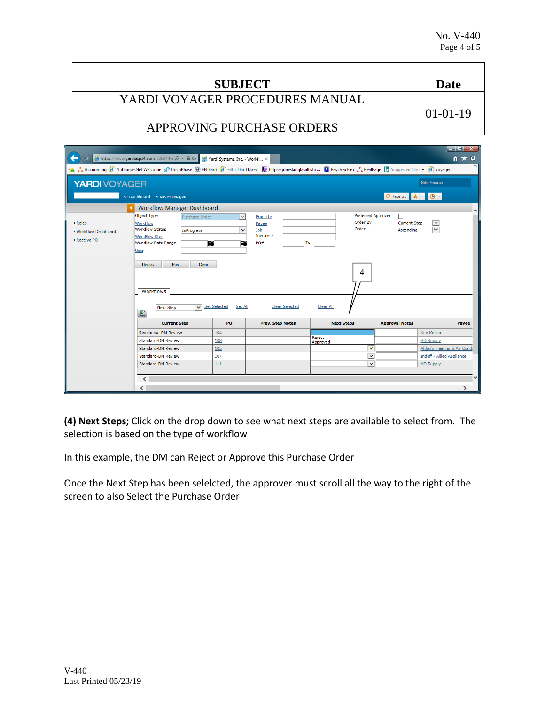| <b>SUBJECT</b>                  | Date       |
|---------------------------------|------------|
| YARDI VOYAGER PROCEDURES MANUAL | $01-01-19$ |
| APPROVING PURCHASE ORDERS       |            |
|                                 |            |

| ←                                             | A https://www.yardiasp14.com/72687flyi Q → A C                                                                                                                                                                                                                                 | Yardi Systems, Inc. - Workfl X                                |                                                                       |                                                                        |                                       | $\Box$ $\Box$ $\chi$<br>←★ ☆                                |
|-----------------------------------------------|--------------------------------------------------------------------------------------------------------------------------------------------------------------------------------------------------------------------------------------------------------------------------------|---------------------------------------------------------------|-----------------------------------------------------------------------|------------------------------------------------------------------------|---------------------------------------|-------------------------------------------------------------|
|                                               | • Accounting @ Authorize.Net Welcome c <sup>o</sup> DocuPhase @ FFI Bank @ Fifth Third Direct Le https--joneslanglasalle.fic D Paychex Flex . RealPage D Suggested Sites ▼ @ Voyager                                                                                           |                                                               |                                                                       |                                                                        |                                       |                                                             |
| <b>YARDIVOYAGER</b>                           |                                                                                                                                                                                                                                                                                |                                                               |                                                                       |                                                                        |                                       | <b>Site Search</b>                                          |
|                                               | PO Dashboard SaaS Messages                                                                                                                                                                                                                                                     |                                                               |                                                                       |                                                                        | PRate us <b>*</b> $\cdot$ 0 -         |                                                             |
| ▶ Roles<br>▶ Workflow Dashboard<br>Receive PO | <b>Workflow Manager Dashboard</b><br>Object Type<br>Purchase Order<br>WorkFlow<br><b>Workflow Status</b><br>InProgress<br>WorkFlow Step<br><b>Workflow Date Range</b><br><b>User</b><br>Post<br><b>Display</b><br>Clear<br><b>Workflows</b><br>$\vee$<br><b>Next Step</b><br>圏 | $\checkmark$<br>v<br>■<br>噩<br><b>Set Selected</b><br>Set All | Property<br>Payee<br>Job<br>Invoice #<br>PO#<br><b>Clear Selected</b> | <b>Preferred Approver</b><br>Order By<br>Order<br>To<br>4<br>Clear All | п<br><b>Current Step</b><br>Ascending | $\wedge$<br>$\blacktriangledown$<br>$\overline{\mathbf{v}}$ |
|                                               | <b>Current Step</b>                                                                                                                                                                                                                                                            | PO                                                            | <b>Prev. Step Notes</b>                                               | <b>Next Steps</b>                                                      | <b>Approval Notes</b>                 | Payee                                                       |
|                                               | <b>Reimburse-DM Review</b>                                                                                                                                                                                                                                                     | 104                                                           |                                                                       |                                                                        |                                       | <b>Kim Kelber</b>                                           |
|                                               | <b>Standard-DM Review</b>                                                                                                                                                                                                                                                      | 108                                                           |                                                                       | Reject<br>Approved                                                     |                                       | <b>HD Supply</b>                                            |
|                                               | <b>Standard-DM Review</b>                                                                                                                                                                                                                                                      | 105                                                           |                                                                       | v                                                                      |                                       | Aldon's Heating & Air Condi                                 |
|                                               | <b>Standard-DM Review</b>                                                                                                                                                                                                                                                      | 107                                                           |                                                                       | Ÿ                                                                      |                                       | <b>Indoff - Allied Appliance</b>                            |
|                                               | <b>Standard-DM Review</b>                                                                                                                                                                                                                                                      | 111                                                           |                                                                       | v                                                                      |                                       | <b>HD Supply</b>                                            |
|                                               | $\epsilon$<br>$\langle$                                                                                                                                                                                                                                                        |                                                               |                                                                       |                                                                        |                                       | $\checkmark$                                                |

**(4) Next Steps;** Click on the drop down to see what next steps are available to select from. The selection is based on the type of workflow

In this example, the DM can Reject or Approve this Purchase Order

Once the Next Step has been selelcted, the approver must scroll all the way to the right of the screen to also Select the Purchase Order